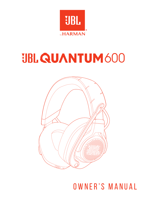

# *UBL QUANTUM 600*



OWNER'S MANUAL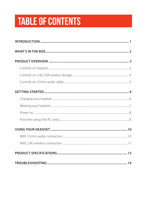# **TABLE OF CONTENTS**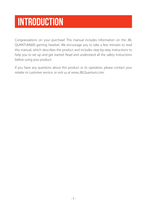# <span id="page-2-0"></span>**Introduction**

Congratulations on your purchase! This manual includes information on the JBL QUANTUM600 gaming headset. We encourage you to take a few minutes to read this manual, which describes the product and includes step-by-step instructions to help you to set up and get started. Read and understand all the safety instructions before using your product.

If you have any questions about this product or its operation, please contact your retailer or customer service, or visit us at www.JBLQuantum.com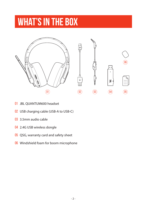# <span id="page-3-0"></span>**What's in the box**



- 01 JBL QUANTUM600 headset
- 02 USB charging cable (USB-A to USB-C)
- 03 3.5mm audio cable
- 04 2.4G USB wireless dongle
- 05 QSG, warranty card and safety sheet
- 06 Windshield foam for boom microphone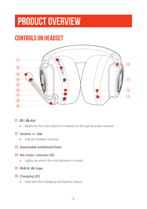# <span id="page-4-0"></span>**PRODUCT OVERVIEW**

## **Controls on headset**



#### $01 \omega / \Delta$ dial

**•** Balances the chat volume in relation to the game audio volume.

#### Volume  $+/$ - dial

**•** Adjusts headset volume.

#### Detachable windshield foam

- Mic mute / unmute LED
	- **•** Lights up when the microphone is muted.

#### RGB-lit JBL logo

- 06 Charging LED
	- **•** Indicates the charging and battery status.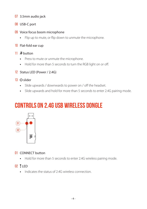- <span id="page-5-0"></span>07 3.5mm audio jack
- 08 USB-C port
- 09 Voice focus boom microphone
	- **•** Flip up to mute, or flip down to unmute the microphone.
- 10 Flat-fold ear cup
- $11 \times$ hutton
	- **•** Press to mute or unmute the microphone.
	- **•** Hold for more than 5 seconds to turn the RGB light on or off.
- 12 Status LED (Power / 2.4G)
- 13 Uslider
	- **•** Slide upwards / downwards to power on / off the headset.
	- **•** Slide upwards and hold for more than 5 seconds to enter 2.4G pairing mode.

# **Controls on 2.4G USB wireless dongle** 02



#### 01 CONNECT button

**•** Hold for more than 5 seconds to enter 2.4G wireless pairing mode.

#### $02$  VIFD

**•** Indicates the status of 2.4G wireless connection.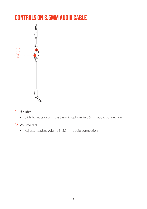## <span id="page-6-0"></span>**Controls on 3.5mm audio cable**



#### 01  $\mathcal{Z}$  slider

**•** Slide to mute or unmute the microphone in 3.5mm audio connection.

#### 02 Volume dial

**•** Adjusts headset volume in 3.5mm audio connection.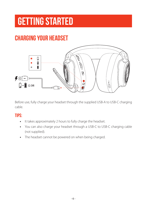# <span id="page-7-0"></span>**Getting started**

# <span id="page-7-1"></span>**Charging your headset**



Before use, fully charge your headset through the supplied USB-A to USB-C charging cable.

### **TIPS:**

- **•** It takes approximately 2 hours to fully charge the headset.
- **•** You can also charge your headset through a USB-C to USB-C charging cable (not supplied).
- **•** The headset cannot be powered on when being charged.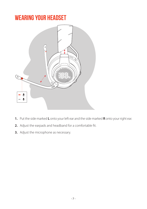## <span id="page-8-0"></span>**Wearing your headset**



- **1.** Put the side marked **L** onto your left ear and the side marked **R** onto your right ear.
- **2.** Adjust the earpads and headband for a comfortable fit.
- **3.** Adjust the microphone as necessary.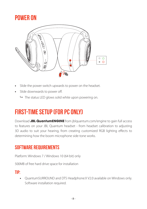## <span id="page-9-0"></span>**Power on**



- **•** Slide the power switch upwards to power on the headset.
- **•** Slide downwards to power off.
	- $\rightarrow$  The status LED glows solid white upon powering on.

## **First-time setup (for PC only)**

Download **JBL QuantumENGINE** from iblguantum.com/engine to gain full access to features on your JBL Quantum headset - from headset calibration to adjusting 3D audio to suit your hearing, from creating customized RGB lighting effects to determining how the boom microphone side-tone works.

### **Software requirements**

Platform: Windows 7 / Windows 10 (64 bit) only

500MB of free hard drive space for installation

### **TIP:**

**•** QuantumSURROUND and DTS Headphone:X V2.0 available on Windows only. Software installation required.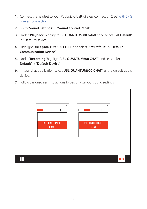- **1.** Connect the headset to your PC via 2.4G USB wireless connection (See ["With 2.4G](#page-12-1) [wireless connection"\)](#page-12-1).
- **2.** Go to "**Sound Settings**" -> "**Sound Control Panel**".
- **3.** Under "**Playback**" highlight "**JBL QUANTUM600 GAME**" and select "**Set Default**" -> "**Default Device**".
- **4.** Highlight "**JBL QUANTUM600 CHAT**" and select "**Set Default**" -> "**Default Communication Device**".
- **5.** Under "**Recording**" highlight "**JBL QUANTUM600 CHAT**" and select "**Set Default**" -> "**Default Device**".
- **6.** In your chat application select "**JBL QUANTUM600 CHAT**" as the default audio device.
- **7.** Follow the onscreen instructions to personalize your sound settings.

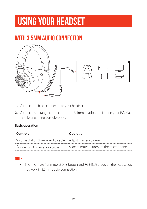# <span id="page-11-0"></span>**Using your headset**

# **With 3.5mm audio connection**



- **1.** Connect the black connector to your headset.
- **2.** Connect the orange connector to the 3.5mm headphone jack on your PC, Mac, mobile or gaming console device.

#### **Basic operation**

| : Controls                                               | <b>Operation</b>                        |
|----------------------------------------------------------|-----------------------------------------|
| Volume dial on 3.5mm audio cable   Adjust master volume. |                                         |
| $\frac{1}{2}$ slider on 3.5mm audio cable                | Slide to mute or unmute the microphone. |

### **NOTE:**

• The mic mute / unmute LED,  $\rlap{\%}$  button and RGB-lit JBL logo on the headset do not work in 3.5mm audio connection.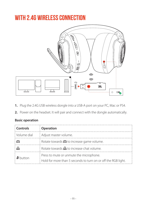# <span id="page-12-1"></span><span id="page-12-0"></span>**With 2.4G wireless connection**



- **1.** Plug the 2.4G USB wireless dongle into a USB-A port on your PC, Mac or PS4.
- **2.** Power on the headset. It will pair and connect with the dongle automatically.

#### **Basic operation**

| Controls      | <b>Operation</b>                                              |
|---------------|---------------------------------------------------------------|
| Volume dial   | Adjust master volume.                                         |
|               | Rotate towards $\Omega$ to increase game volume.              |
|               | Rotate towards $\Delta$ to increase chat volume.              |
| <b>Nutton</b> | Press to mute or unmute the microphone.                       |
|               | Hold for more than 5 seconds to turn on or off the RGB light. |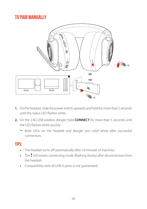## <span id="page-13-0"></span>**To pair manually**



- **1.** On the headset, slide the power switch upwards and hold for more than 5 seconds until the status LED flashes white.
- **2.** On the 2.4G USB wireless dongle, hold **CONNECT** for more than 5 seconds until the LED flashes white quickly.
	- $\rightarrow$  Both LEDs on the headset and dongle turn solid white after successful connection.

### **TIPS:**

- **•** The headset turns off automatically after 10 minutes of inactivity.
- The  $I$  LED enters connecting mode (flashing slowly) after disconnection from the headset.
- **•** Compatibility with all USB-A ports is not guaranteed.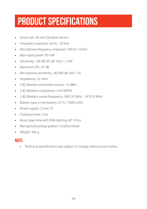# <span id="page-14-0"></span>**Product Specifications**

- **•** Driver size: 50 mm Dynamic drivers
- **•** Frequency response: 20 Hz 20 kHz
- **•** Microphone frequency response: 100 Hz -10 kHz
- **•** Max input power 30 mW
- **•** Sensitivity: 100 dB SPL @1 kHz / 1 mW
- **•** Maximum SPL: 97 dB
- **•** Microphone sensitivity: -40 dBV @1 kHz / Pa
- **•** Impedance: 32 ohm
- **•** 2.4G Wireless transmitter power: <4 dBm
- **•** 2.4G Wireless modulation: π/4-DQPSK
- **•** 2.4G Wireless carrier frequency: 2403.35 MHz 2479.35 MHz
- **•** Battery type: Li-ion battery (3.7 V / 1000 mAh)
- Power supply:  $5V = 2A$
- **•** Charging time: 2 hrs
- **•** Music play time with RGB lighting off: 14 hrs
- **•** Microphone pickup pattern: Unidirectional
- **•** Weight: 346 g

### **NOTE:**

**•** Technical specifications are subject to change without prior notice.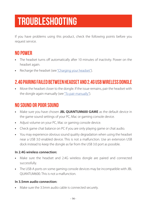# <span id="page-15-0"></span>**Troubleshooting**

If you have problems using this product, check the following points before you request service.

### **No power**

- **•** The headset turns off automatically after 10 minutes of inactivity. Power on the headset again.
- **•** Recharge the headset (see ["Charging your headset"](#page-7-1)).

## **2.4G pairing failed between headset and 2.4G USB wireless dongle**

**•** Move the headset closer to the dongle. If the issue remains, pair the headset with the dongle again manually (see ["To pair manually"](#page-13-0)).

### **No sound or poor sound**

- **•** Make sure you have chosen **JBL QUANTUM600 GAME** as the default device in the game sound settings of your PC, Mac or gaming console device.
- **•** Adjust volume on your PC, Mac or gaming console device.
- **•** Check game chat balance on PC if you are only playing game or chat audio.
- **•** You may experience obvious sound quality degradation when using the headset near a USB 3.0 enabled device. This is not a malfunction. Use an extension USB dock instead to keep the dongle as far from the USB 3.0 port as possible.

#### **In 2.4G wireless connection:**

- **•** Make sure the headset and 2.4G wireless dongle are paired and connected successfully.
- **•** The USB-A ports on some gaming console devices may be incompatible with JBL QUANTUM600. This is not a malfunction.

#### **In 3.5mm audio connection:**

**•** Make sure the 3.5mm audio cable is connected securely.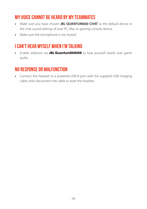### **My voice cannot be heard by my teammates**

- **•** Make sure you have chosen **JBL QUANTUM600 CHAT** as the default device in the chat sound settings of your PC, Mac or gaming console device.
- **•** Make sure the microphone is not muted.

## **I can't hear myself when I'm talking**

• Enable sidetone via JBL QuantumENGINE to hear yourself clearly over game audio.

### **No response or malfunction**

**•** Connect the headset to a powered USB-A port with the supplied USB charging cable, then disconnect the cable to reset the headset.